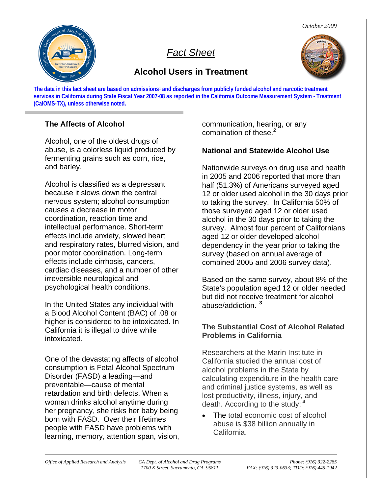*October 2009* 



# *Fact Sheet*

# **Alcohol Users in Treatment**



The data in this fact sheet are based on admissions<sup>1</sup> and discharges from publicly funded alcohol and narcotic treatment **services in California during State Fiscal Year 2007-08 as reported in the California Outcome Measurement System - Treatment (CalOMS-TX), unless otherwise noted.** 

# **The Affects of Alcohol**

Alcohol, one of the oldest drugs of abuse, is a colorless liquid produced by fermenting grains such as corn, rice, and barley.

Alcohol is classified as a depressant because it slows down the central nervous system; alcohol consumption causes a decrease in motor coordination, reaction time and intellectual performance. Short-term effects include anxiety, slowed heart and respiratory rates, blurred vision, and poor motor coordination. Long-term effects include cirrhosis, cancers, cardiac diseases, and a number of other irreversible neurological and psychological health conditions.

In the United States any individual with a Blood Alcohol Content (BAC) of .08 or higher is considered to be intoxicated. In California it is illegal to drive while intoxicated.

One of the devastating affects of alcohol consumption is Fetal Alcohol Spectrum Disorder (FASD) a leading—and preventable—cause of mental retardation and birth defects. When a woman drinks alcohol anytime during her pregnancy, she risks her baby being born with FASD. Over their lifetimes people with FASD have problems with learning, memory, attention span, vision, communication, hearing, or any combination of these.**<sup>2</sup>**

# **National and Statewide Alcohol Use**

Nationwide surveys on drug use and health in 2005 and 2006 reported that more than half (51.3%) of Americans surveyed aged 12 or older used alcohol in the 30 days prior to taking the survey. In California 50% of those surveyed aged 12 or older used alcohol in the 30 days prior to taking the survey. Almost four percent of Californians aged 12 or older developed alcohol dependency in the year prior to taking the survey (based on annual average of combined 2005 and 2006 survey data).

Based on the same survey, about 8% of the State's population aged 12 or older needed but did not receive treatment for alcohol abuse/addiction.**<sup>23</sup>**

### **The Substantial Cost of Alcohol Related Problems in California**

Researchers at the Marin Institute in California studied the annual cost of alcohol problems in the State by calculating expenditure in the health care and criminal justice systems, as well as lost productivity, illness, injury, and death. According to the study:**<sup>4</sup>**

• The total economic cost of alcohol abuse is \$38 billion annually in California.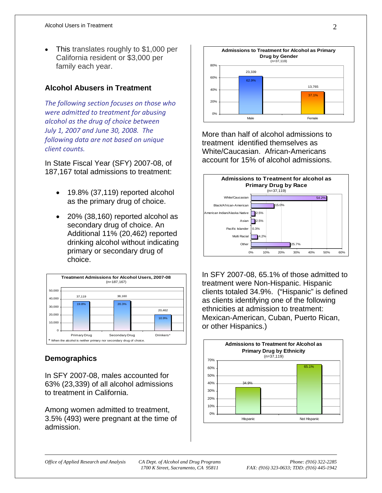• This translates roughly to \$1,000 per California resident or \$3,000 per family each year.

#### **Alcohol Abusers in Treatment**

*The following section focuses on those who were admitted to treatment for abusing alcohol as the drug of choice between July 1, 2007 and June 30, 2008. The following data are not based on unique client counts.* 

In State Fiscal Year (SFY) 2007-08, of 187,167 total admissions to treatment:

- 19.8% (37,119) reported alcohol as the primary drug of choice.
- 20% (38,160) reported alcohol as secondary drug of choice. An Additional 11% (20,462) reported drinking alcohol without indicating primary or secondary drug of choice.



#### **Demographics**

In SFY 2007-08, males accounted for 63% (23,339) of all alcohol admissions to treatment in California.

Among women admitted to treatment, 3.5% (493) were pregnant at the time of admission.



More than half of alcohol admissions to treatment identified themselves as White/Caucasian. African-Americans account for 15% of alcohol admissions.



In SFY 2007-08, 65.1% of those admitted to treatment were Non-Hispanic. Hispanic clients totaled 34.9%. ("Hispanic" is defined as clients identifying one of the following ethnicities at admission to treatment: Mexican-American, Cuban, Puerto Rican, or other Hispanics.)

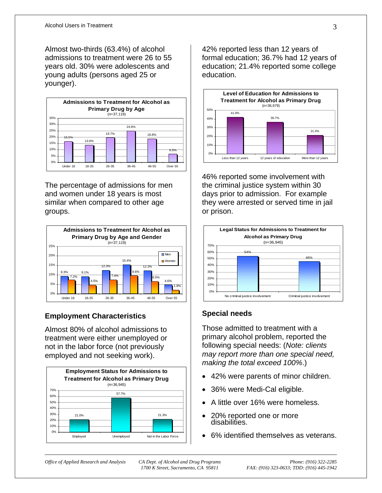Almost two-thirds (63.4%) of alcohol admissions to treatment were 26 to 55 years old. 30% were adolescents and young adults (persons aged 25 or younger).



The percentage of admissions for men and women under 18 years is most similar when compared to other age groups.



# **Employment Characteristics**

Almost 80% of alcohol admissions to treatment were either unemployed or not in the labor force (not previously employed and not seeking work).



42% reported less than 12 years of formal education; 36.7% had 12 years of education; 21.4% reported some college education.



46% reported some involvement with the criminal justice system within 30 days prior to admission. For example they were arrested or served time in jail or prison.



# **Special needs**

Those admitted to treatment with a primary alcohol problem, reported the following special needs: (*Note: clients may report more than one special need, making the total exceed 100%*.)

- 42% were parents of minor children.
- 36% were Medi-Cal eligible.
- A little over 16% were homeless.
- 20% reported one or more disabilities.
- 6% identified themselves as veterans.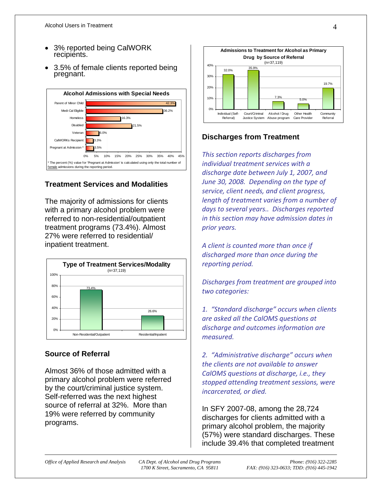- 3% reported being CalWORK recipients.
- 3.5% of female clients reported being pregnant.



### **Treatment Services and Modalities**

The majority of admissions for clients with a primary alcohol problem were referred to non-residential/outpatient treatment programs (73.4%). Almost 27% were referred to residential/ inpatient treatment.



### **Source of Referral**

Almost 36% of those admitted with a primary alcohol problem were referred by the court/criminal justice system. Self-referred was the next highest source of referral at 32%. More than 19% were referred by community programs.



### **Discharges from Treatment**

*This section reports discharges from individual treatment services with a discharge date between July 1, 2007, and June 30, 2008. Depending on the type of service, client needs, and client progress, length of treatment varies from a number of days to several years.. Discharges reported in this section may have admission dates in prior years.*

*A client is counted more than once if discharged more than once during the reporting period.* 

*Discharges from treatment are grouped into two categories:* 

*1. "Standard discharge" occurs when clients are asked all the CalOMS questions at discharge and outcomes information are measured.* 

*2. "Administrative discharge" occurs when the clients are not available to answer CalOMS questions at discharge, i.e., they stopped attending treatment sessions, were incarcerated, or died.*

In SFY 2007-08, among the 28,724 discharges for clients admitted with a primary alcohol problem, the majority (57%) were standard discharges. These include 39.4% that completed treatment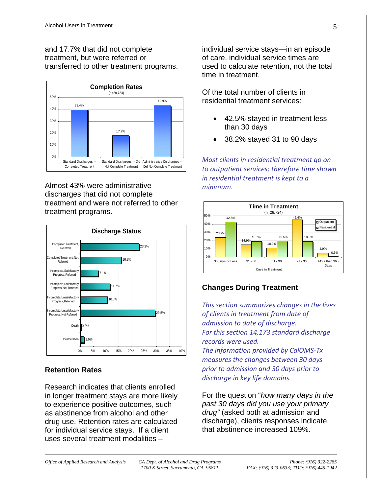and 17.7% that did not complete treatment, but were referred or transferred to other treatment programs.



Almost 43% were administrative discharges that did not complete treatment and were not referred to other treatment programs.



# **Retention Rates**

Research indicates that clients enrolled in longer treatment stays are more likely to experience positive outcomes, such as abstinence from alcohol and other drug use. Retention rates are calculated for individual service stays. If a client uses several treatment modalities –

individual service stays—in an episode of care, individual service times are used to calculate retention, not the total time in treatment.

Of the total number of clients in residential treatment services:

- 42.5% stayed in treatment less than 30 days
- 38.2% stayed 31 to 90 days

*Most clients in residential treatment go on to outpatient services; therefore time shown in residential treatment is kept to a minimum.*



# **Changes During Treatment**

*This section summarizes changes in the lives of clients in treatment from date of admission to date of discharge. For this section 14,173 standard discharge records were used.* 

*The information provided by CalOMS‐Tx measures the changes between 30 days prior to admission and 30 days prior to discharge in key life domains.*

For the question "*how many days in the past 30 days did you use your primary drug"* (asked both at admission and discharge), clients responses indicate that abstinence increased 109%.